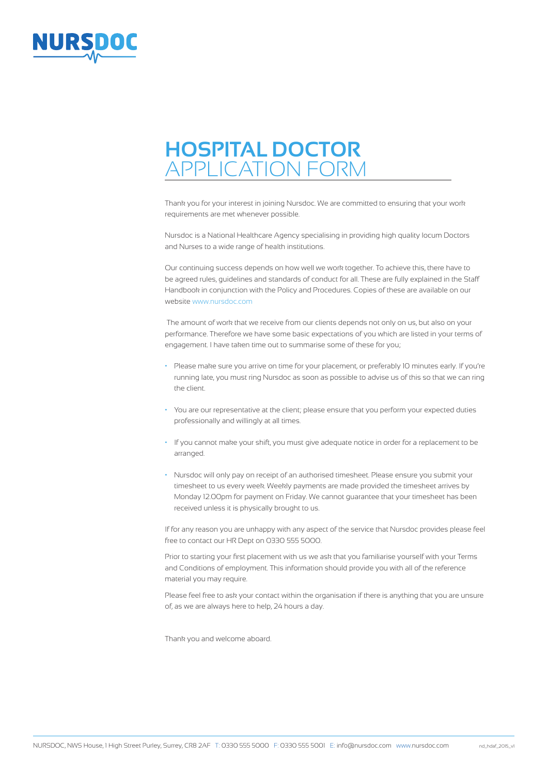

Thank you for your interest in joining Nursdoc. We are committed to ensuring that your work requirements are met whenever possible.

Nursdoc is a National Healthcare Agency specialising in providing high quality locum Doctors and Nurses to a wide range of health institutions.

Our continuing success depends on how well we work together. To achieve this, there have to be agreed rules, guidelines and standards of conduct for all. These are fully explained in the Staff Handbook in conjunction with the Policy and Procedures. Copies of these are available on our website www.nursdoc.com

 The amount of work that we receive from our clients depends not only on us, but also on your performance. Therefore we have some basic expectations of you which are listed in your terms of engagement. I have taken time out to summarise some of these for you;

- Please make sure you arrive on time for your placement, or preferably 10 minutes early. If you're running late, you must ring Nursdoc as soon as possible to advise us of this so that we can ring the client.
- You are our representative at the client; please ensure that you perform your expected duties professionally and willingly at all times.
- If you cannot make your shift, you must give adequate notice in order for a replacement to be arranged.
- Nursdoc will only pay on receipt of an authorised timesheet. Please ensure you submit your timesheet to us every week. Weekly payments are made provided the timesheet arrives by Monday 12.00pm for payment on Friday. We cannot guarantee that your timesheet has been received unless it is physically brought to us.

If for any reason you are unhappy with any aspect of the service that Nursdoc provides please feel free to contact our HR Dept on 0330 555 5000.

Prior to starting your first placement with us we ask that you familiarise yourself with your Terms and Conditions of employment. This information should provide you with all of the reference material you may require.

Please feel free to ask your contact within the organisation if there is anything that you are unsure of, as we are always here to help, 24 hours a day.

Thank you and welcome aboard.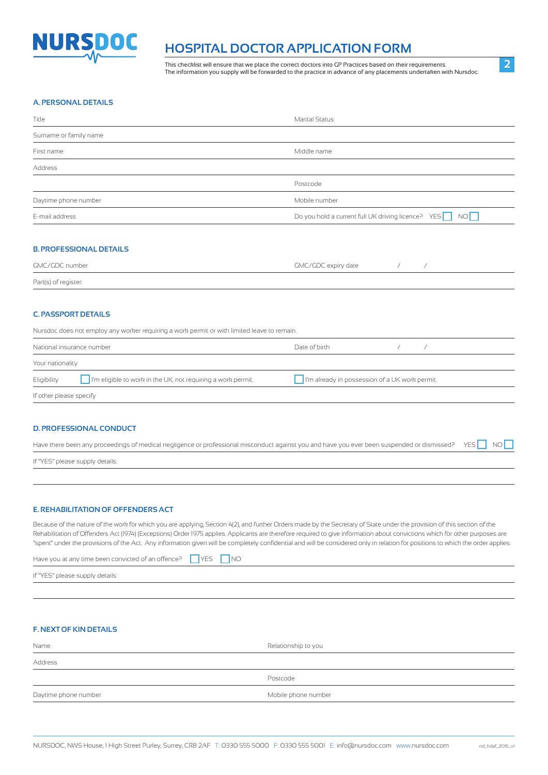

This checklist will ensure that we place the correct doctors into GP Practices based on their requirements. The information you supply will be forwarded to the practice in advance of any placements undertaken with Nursdoc.

#### **A. PERSONAL DETAILS**

| Title                  | <b>Marital Status</b>                                 |
|------------------------|-------------------------------------------------------|
| Surname or family name |                                                       |
| First name             | Middle name                                           |
| Address                |                                                       |
|                        | Postcode                                              |
| Daytime phone number   | Mobile number                                         |
| E-mail address         | Do you hold a current full UK driving licence? YES NO |
|                        |                                                       |

### **B. PROFESSIONAL DETAILS**

| GMC/GDC number       | GMC/GDC expiry date |  |
|----------------------|---------------------|--|
| Part(s) of register: |                     |  |

#### **C. PASSPORT DETAILS**

|                         | Nursdoc does not employ any worker requiring a work permit or with limited leave to remain. |               |                                                                |  |
|-------------------------|---------------------------------------------------------------------------------------------|---------------|----------------------------------------------------------------|--|
|                         | National insurance number                                                                   | Date of birth |                                                                |  |
| Your nationality        |                                                                                             |               |                                                                |  |
| Eligibility             | $\vert \ \vert$ I'm eligible to work in the UK, not requiring a work permit.                |               | $\vert \ \vert$ I'm already in possession of a UK work permit. |  |
| If other please specify |                                                                                             |               |                                                                |  |

#### **D. PROFESSIONAL CONDUCT**

| Have there been any proceedings of medical negligence or professional misconduct against you and have you ever been suspended or dismissed? YES NO |  |  |
|----------------------------------------------------------------------------------------------------------------------------------------------------|--|--|
| If "YES" please supply details:                                                                                                                    |  |  |

#### **E. REHABILITATION OF OFFENDERS ACT**

Because of the nature of the work for which you are applying, Section 4(2), and further Orders made by the Secretary of State under the provision of this section of the Rehabilitation of Offenders Act (1974) (Exceptions) Order 1975 applies. Applicants are therefore required to give information about convictions which for other purposes are "spent" under the provisions of the Act. Any information given will be completely confidential and will be considered only in relation for positions to which the order applies.

| Have you at any time been convicted of an offence? VES NO |  |  |  |  |
|-----------------------------------------------------------|--|--|--|--|
|-----------------------------------------------------------|--|--|--|--|

If "YES" please supply details:

#### **F. NEXT OF KIN DETAILS**

| Name                 | Relationship to you |
|----------------------|---------------------|
| Address              |                     |
|                      | Postcode            |
| Daytime phone number | Mobile phone number |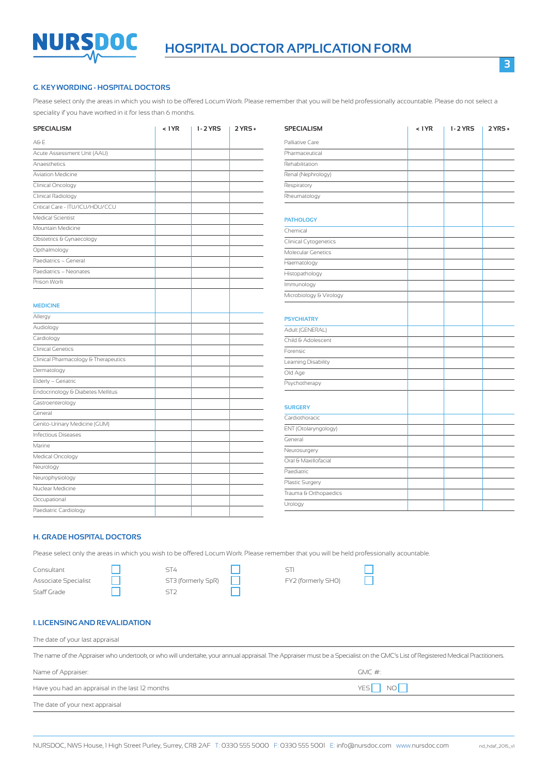

#### **G. KEY WORDING - HOSPITAL DOCTORS**

Please select only the areas in which you wish to be offered Locum Work. Please remember that you will be held professionally accountable. Please do not select a speciality if you have worked in it for less than 6 months.

| <b>SPECIALISM</b>                    | < 1YR | 1-2 YRS | $2YRS +$ |
|--------------------------------------|-------|---------|----------|
| A&E                                  |       |         |          |
| Acute Assessment Unit (AAU)          |       |         |          |
| Anaesthetics                         |       |         |          |
| <b>Aviation Medicine</b>             |       |         |          |
| Clinical Oncology                    |       |         |          |
| Clinical Radiology                   |       |         |          |
| Critical Care - ITU/ICU/HDU/CCU      |       |         |          |
| Medical Scientist                    |       |         |          |
| Mountain Medicine                    |       |         |          |
| Obstetrics & Gynaecology             |       |         |          |
| Opthalmology                         |       |         |          |
| Paediatrics - General                |       |         |          |
| Paediatrics - Neonates               |       |         |          |
| Prison Work                          |       |         |          |
|                                      |       |         |          |
| <b>MEDICINE</b>                      |       |         |          |
| Allergy                              |       |         |          |
| Audiology                            |       |         |          |
| Cardiology                           |       |         |          |
| <b>Clinical Genetics</b>             |       |         |          |
| Clinical Pharmacology & Therapeutics |       |         |          |
| Dermatology                          |       |         |          |
| Elderly - Geriatric                  |       |         |          |
| Endocrinology & Diabetes Mellitus    |       |         |          |
| Gastroenterology                     |       |         |          |
| General                              |       |         |          |
| Genito-Urinary Medicine (GUM)        |       |         |          |
| <b>Infectious Diseases</b>           |       |         |          |
| Marine                               |       |         |          |
| Medical Oncology                     |       |         |          |
| Neurology                            |       |         |          |
| Neurophysiology                      |       |         |          |
| Nuclear Medicine                     |       |         |          |
| Occupational                         |       |         |          |
| Paediatric Cardiology                |       |         |          |

| <b>SPECIALISM</b>       | < 1YR | 1-2 YRS | $2YRS +$ |
|-------------------------|-------|---------|----------|
| Palliative Care         |       |         |          |
| Pharmaceutical          |       |         |          |
| Rehabilitation          |       |         |          |
| Renal (Nephrology)      |       |         |          |
| Respiratory             |       |         |          |
| Rheumatology            |       |         |          |
| <b>PATHOLOGY</b>        |       |         |          |
| Chemical                |       |         |          |
| Clinical Cytogenetics   |       |         |          |
| Molecular Genetics      |       |         |          |
| Haematology             |       |         |          |
| Histopathology          |       |         |          |
| Immunology              |       |         |          |
| Microbiology & Virology |       |         |          |
| <b>PSYCHIATRY</b>       |       |         |          |
| Adult (GENERAL)         |       |         |          |
| Child & Adolescent      |       |         |          |
| Forensic                |       |         |          |
| Learning Disability     |       |         |          |
| Old Age                 |       |         |          |
| Psychotherapy           |       |         |          |
| <b>SURGERY</b>          |       |         |          |
| Cardiothoracic          |       |         |          |
| ENT (Otolaryngology)    |       |         |          |
| General                 |       |         |          |
| Neurosurgery            |       |         |          |
| Oral & Maxillofacial    |       |         |          |
| Paediatric              |       |         |          |
| Plastic Surgery         |       |         |          |
| Trauma & Orthopaedics   |       |         |          |
| Urology                 |       |         |          |

#### **H. GRADE HOSPITAL DOCTORS**

Please select only the areas in which you wish to be offered Locum Work. Please remember that you will be held professionally acountable.

| Consultant           | ST4                |                    |
|----------------------|--------------------|--------------------|
| Associate Specialist | ST3 (formerly SpR) | FY2 (formerly SHO) |
| Staff Grade          |                    |                    |

| 514                |  |
|--------------------|--|
| ST3 (formerly SpR) |  |
| ST2                |  |

| 511                |  |
|--------------------|--|
| FY2 (formerly SHO) |  |

#### **I. LICENSING AND REVALIDATION**

The date of your last appraisal The name of the Appraiser who undertook, or who will undertake, your annual appraisal. The Appraiser must be a Specialist on the GMC's List of Registered Medical Practitioners. Name of Appraiser: GMC #: Have you had an appraisal in the last 12 months  $YES \fbox{ 1}$  NO  $\fbox{ 1}$ 

|  | The date of your next appraisal |
|--|---------------------------------|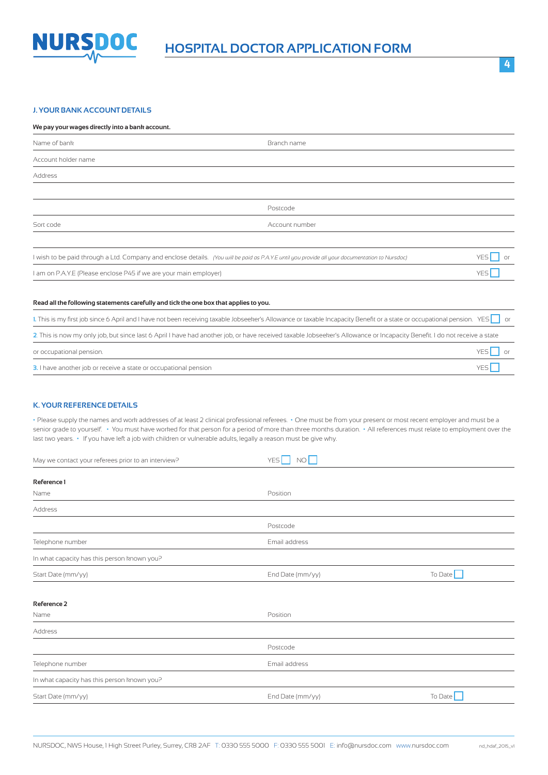

#### **J. YOUR BANK ACCOUNT DETAILS**

#### **We pay your wages directly into a bank account.**

| Name of bank                                                                          | Branch name                                                                                                                                                                            |                               |
|---------------------------------------------------------------------------------------|----------------------------------------------------------------------------------------------------------------------------------------------------------------------------------------|-------------------------------|
| Account holder name                                                                   |                                                                                                                                                                                        |                               |
| Address                                                                               |                                                                                                                                                                                        |                               |
|                                                                                       |                                                                                                                                                                                        |                               |
|                                                                                       | Postcode                                                                                                                                                                               |                               |
| Sort code                                                                             | Account number                                                                                                                                                                         |                               |
|                                                                                       |                                                                                                                                                                                        |                               |
|                                                                                       | I wish to be paid through a Ltd. Company and enclose details. (You will be paid as P.A.Y.E until you provide all your documentation to Nursdoc)                                        | YES <sup>I</sup><br><b>or</b> |
| I am on P.A.Y.E (Please enclose P45 if we are your main employer)                     |                                                                                                                                                                                        | YES <sup>I</sup>              |
|                                                                                       |                                                                                                                                                                                        |                               |
| Read all the following statements carefully and tick the one box that applies to you. |                                                                                                                                                                                        |                               |
|                                                                                       | 1. This is my first job since 6 April and I have not been receiving taxable Jobseeker's Allowance or taxable Incapacity Benefit or a state or occupational pension. YES $\parallel$ or |                               |
|                                                                                       | 2. This is now my only job, but since last 6 April I have had another job, or have received taxable Jobseeker's Allowance or Incapacity Benefit. I do not receive a state              |                               |
| or occupational pension.                                                              |                                                                                                                                                                                        | YES<br>Oľ                     |

#### **K. YOUR REFERENCE DETAILS**

**•** Please supply the names and work addresses of at least 2 clinical professional referees. **•** One must be from your present or most recent employer and must be a senior grade to yourself. **•** You must have worked for that person for a period of more than three months duration. **•** All references must relate to employment over the last two years. **•** If you have left a job with children or vulnerable adults, legally a reason must be give why.

**3.** I have another job or receive a state or occupational pensionYES

| May we contact your referees prior to an interview? | <b>YES</b><br>NO |                |
|-----------------------------------------------------|------------------|----------------|
|                                                     |                  |                |
| Reference 1                                         |                  |                |
| Name                                                | Position         |                |
| Address                                             |                  |                |
|                                                     | Postcode         |                |
| Telephone number                                    | Email address    |                |
| In what capacity has this person known you?         |                  |                |
| Start Date (mm/yy)                                  | End Date (mm/yy) | To Date $\Box$ |
|                                                     |                  |                |
| Reference 2                                         |                  |                |
| Name                                                | Position         |                |
| Address                                             |                  |                |
|                                                     | Postcode         |                |
| Telephone number                                    | Email address    |                |
| In what capacity has this person known you?         |                  |                |
| Start Date (mm/yy)                                  | End Date (mm/yy) | To Date        |